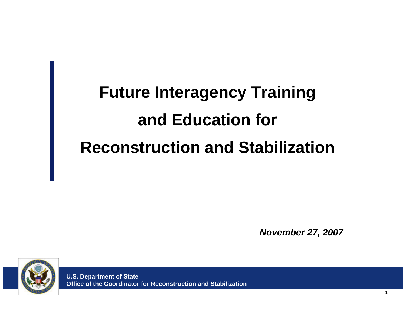## **Future Interagency Training and Education for Reconstruction and Stabilization**

*November 27, 2007*



**U.S. Department of State Office of the Coordinator for Reconstruction and Stabilization**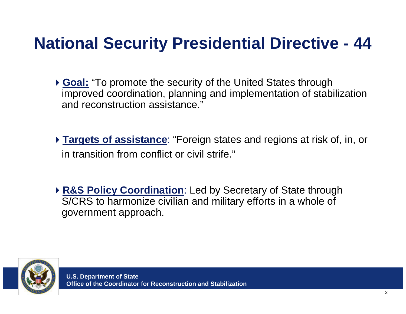### **National Security Presidential Directive - 44**

- **Goal:** "To promote the security of the United States through improved coordination, planning and implementation of stabilization and reconstruction assistance."
- **Targets of assistance**: "Foreign states and regions at risk of, in, or in transition from conflict or civil strife."
- **R&S Policy Coordination**: Led by Secretary of State through S/CRS to harmonize civilian and military efforts in a whole of government approach.

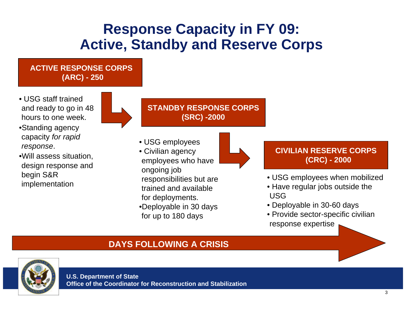### **Response Capacity in FY 09: Active, Standby and Reserve Corps**

**ACTIVE RESPONSE CORPS (ARC) - 250**

- USG staff trained and ready to go in 48 hours to one week.
- •Standing agency capacity *for rapid response*.
- •Will assess situation, design response and begin S&R implementation



**STANDBY RESPONSE CORPS(SRC) -2000**

- USG employees
- Civilian agency
- employees who have ongoing job responsibilities but are trained and available for deployments.
- •Deployable in 30 days for up to 180 days



#### **CIVILIAN RESERVE CORPS (CRC) - 2000**

- USG employees when mobilized
- Have regular jobs outside the USG
- Deployable in 30-60 days
- Provide sector-specific civilian response expertise

#### **DAYS FOLLOWING A CRISIS**

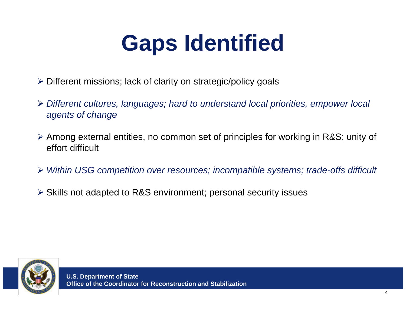# **Gaps Identified**

¾ Different missions; lack of clarity on strategic/policy goals

- ¾ *Different cultures, languages; hard to understand local priorities, empower local agents of change*
- ¾ Among external entities, no common set of principles for working in R&S; unity of effort difficult
- ¾ *Within USG competition over resources; incompatible systems; trade-offs difficult*
- ¾ Skills not adapted to R&S environment; personal security issues

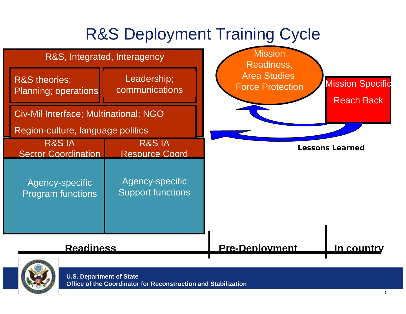## R&S Deployment Training Cycle



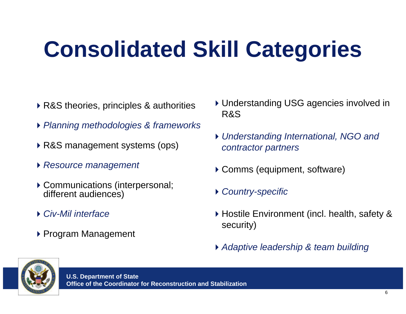# **Consolidated Skill Categories**

- ▶ R&S theories, principles & authorities
- *Planning methodologies & frameworks*
- ▶ R&S management systems (ops)
- *Resource management*
- Communications (interpersonal; different audiences)
- *Civ-Mil interface*
- ▶ Program Management
- Understanding USG agencies involved in R&S
- *Understanding International, NGO and contractor partners*
- Comms (equipment, software)
- *Country-specific*
- ▶ Hostile Environment (incl. health, safety & security)
- *Adaptive leadership & team building*

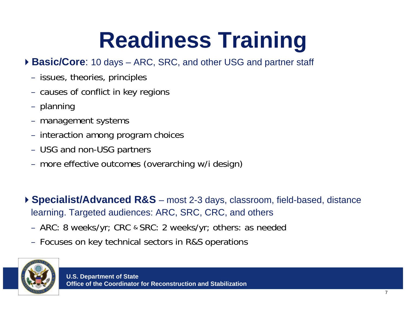# **Readiness Training**

- **Basic/Core**: 10 days ARC, SRC, and other USG and partner staff
	- issues, theories, principles
	- causes of conflict in key regions
	- planning
	- management systems
	- interaction among program choices
	- USG and non-USG partners
	- more effective outcomes (overarching w/i design)
- **Specialist/Advanced R&S** most 2-3 days, classroom, field-based, distance learning. Targeted audiences: ARC, SRC, CRC, and others
	- ARC: 8 weeks/yr; CRC & SRC: 2 weeks/yr; others: as needed
	- Focuses on key technical sectors in R&S operations

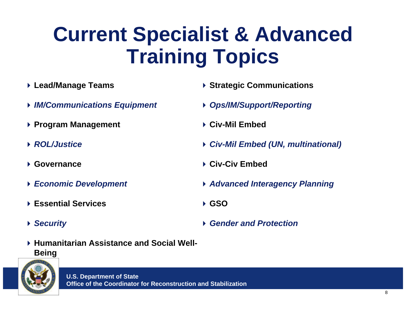## **Current Specialist & Advanced Training Topics**

- **Lead/Manage Teams**
- *IM/Communications Equipment*
- **Program Management**
- *ROL/Justice*
- **Governance**
- *Economic Development*
- **Essential Services**
- *Security*
- **Humanitarian Assistance and Social Well-Being**
- 
- **Strategic Communications**
- *Ops/IM/Support/Reporting*
- **Civ-Mil Embed**
- *Civ-Mil Embed (UN, multinational)*
- **Civ-Civ Embed**
- *Advanced Interagency Planning*
- **GSO**
- *Gender and Protection*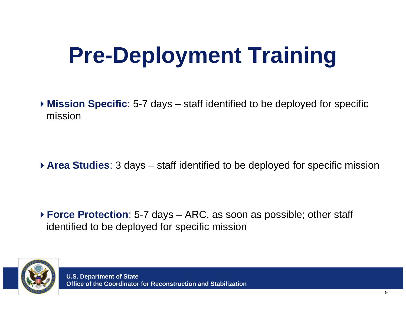# **Pre-Deployment Training**

**Mission Specific**: 5-7 days – staff identified to be deployed for specific mission

**Area Studies**: 3 days – staff identified to be deployed for specific mission

**Force Protection**: 5-7 days – ARC, as soon as possible; other staff identified to be deployed for specific mission

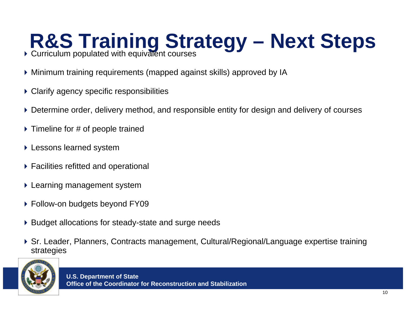# **R&S Training Strategy – Next Steps**

- 
- Minimum training requirements (mapped against skills) approved by IA
- ▶ Clarify agency specific responsibilities
- Determine order, delivery method, and responsible entity for design and delivery of courses
- ▶ Timeline for # of people trained
- ▶ Lessons learned system
- ▶ Facilities refitted and operational
- ▶ Learning management system
- ▶ Follow-on budgets beyond FY09
- ▶ Budget allocations for steady-state and surge needs
- ▶ Sr. Leader, Planners, Contracts management, Cultural/Regional/Language expertise training strategies

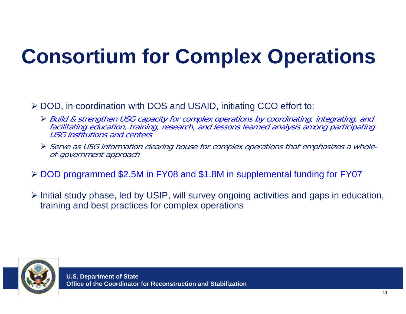# **Consortium for Complex Operations**

¾ DOD, in coordination with DOS and USAID, initiating CCO effort to:

- ¾ Build & strengthen USG capacity for complex operations by coordinating, integrating, and facilitating education, training, research, and lessons learned analysis among participating USG institutions and centers
- ¾ Serve as USG information clearing house for complex operations that emphasizes a wholeof-government approach
- ¾ DOD programmed \$2.5M in FY08 and \$1.8M in supplemental funding for FY07
- ¾ Initial study phase, led by USIP, will survey ongoing activities and gaps in education, training and best practices for complex operations

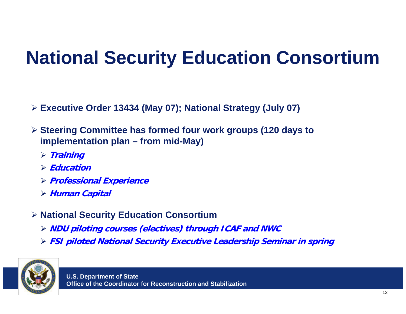## **National Security Education Consortium**

¾ **Executive Order 13434 (May 07); National Strategy (July 07)**

- ¾ **Steering Committee has formed four work groups (120 days to implementation plan – from mid-May)**
	- ¾ **Training**
	- ¾ **Education**
	- ¾ **Professional Experience**
	- ¾ **Human Capital**
- ¾ **National Security Education Consortium**
	- ¾ **NDU piloting courses (electives) through ICAF and NWC**
	- ¾ **FSI piloted National Security Executive Leadership Seminar in spring**

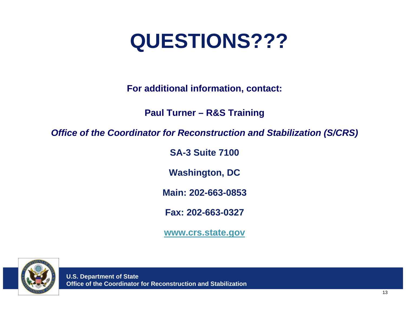## **QUESTIONS???**

**For additional information, contact:**

**Paul Turner – R&S Training**

*Office of the Coordinator for Reconstruction and Stabilization (S/CRS)*

**SA-3 Suite 7100**

**Washington, DC**

**Main: 202-663-0853**

**Fax: 202-663-0327**

**www.crs.state.gov**



**U.S. Department of State Office of the Coordinator for Reconstruction and Stabilization**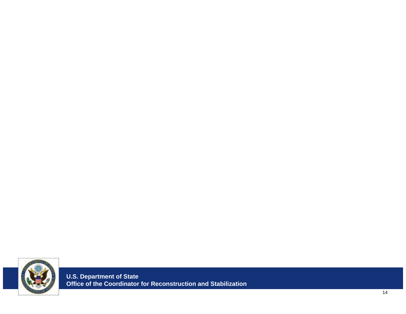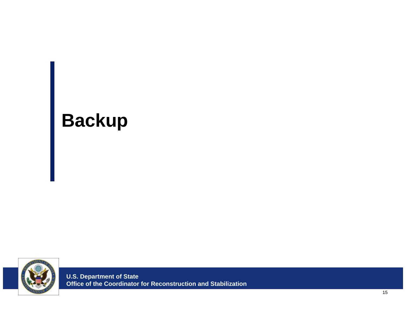## **Backup**

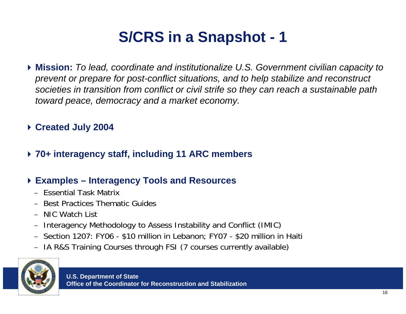### **S/CRS in a Snapshot - 1**

- **Mission:** *To lead, coordinate and institutionalize U.S. Government civilian capacity to prevent or prepare for post-conflict situations, and to help stabilize and reconstruct societies in transition from conflict or civil strife so they can reach a sustainable path toward peace, democracy and a market economy.*
- **Created July 2004**
- **70+ interagency staff, including 11 ARC members**

#### **Examples – Interagency Tools and Resources**

- Essential Task Matrix
- Best Practices Thematic Guides
- NIC Watch List
- –Interagency Methodology to Assess Instability and Conflict (IMIC)
- Section 1207: FY06 \$10 million in Lebanon; FY07 \$20 million in Haiti
- IA R&S Training Courses through FSI (7 courses currently available)

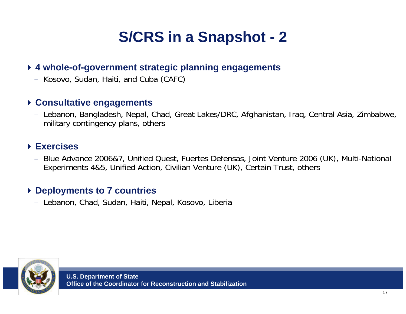### **S/CRS in a Snapshot - 2**

#### **4 whole-of-government strategic planning engagements**

– Kosovo, Sudan, Haiti, and Cuba (CAFC)

#### **Consultative engagements**

– Lebanon, Bangladesh, Nepal, Chad, Great Lakes/DRC, Afghanistan, Iraq, Central Asia, Zimbabwe, military contingency plans, others

#### **Exercises**

– Blue Advance 2006&7, Unified Quest, Fuertes Defensas, Joint Venture 2006 (UK), Multi-National Experiments 4&5, Unified Action, Civilian Venture (UK), Certain Trust, others

#### **Deployments to 7 countries**

– Lebanon, Chad, Sudan, Haiti, Nepal, Kosovo, Liberia

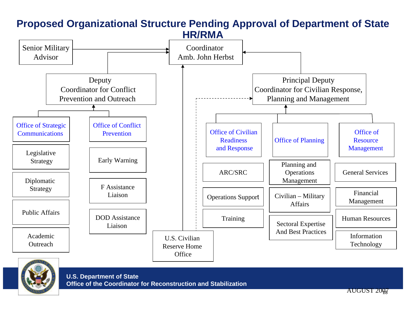#### **Proposed Organizational Structure Pending Approval of Department of State HR/RMA**



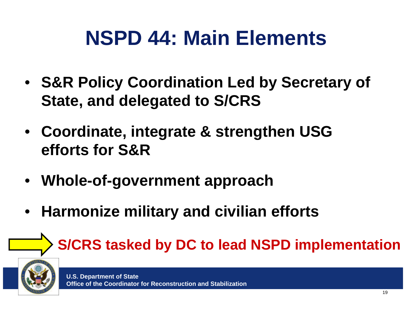## **NSPD 44: Main Elements**

- **S&R Policy Coordination Led by Secretary of State, and delegated to S/CRS**
- **Coordinate, integrate & strengthen USG efforts for S&R**
- **Whole-of-government approach**
- **Harmonize military and civilian efforts**

### **S/CRS tasked by DC to lead NSPD implementation**

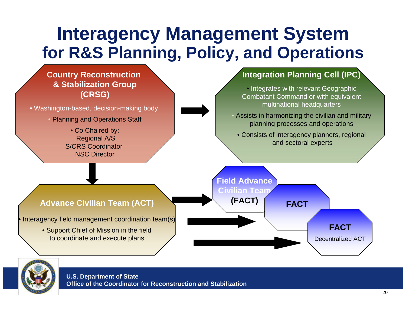## **Interagency Management System for R&S Planning, Policy, and Operations**

**Country Reconstruction & Stabilization Group (CRSG)**

• Washington-based, decision-making body

- Planning and Operations Staff
	- Co Chaired by: Regional A/S S/CRS Coordinator NSC Director

#### **Integration Planning Cell (IPC)**

- Integrates with relevant Geographic Combatant Command or with equivalent multinational headquarters
- Assists in harmonizing the civilian and military planning processes and operations
	- Consists of interagency planners, regional and sectoral experts

#### **Advance Civilian Team (ACT)**

• Interagency field management coordination team(s)

• Support Chief of Mission in the field to coordinate and execute plans



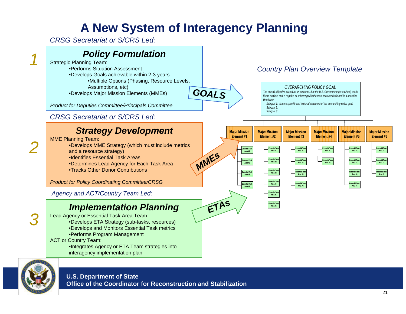### **A New System of Interagency Planning**

*CRSG Secretariat or S/CRS Led:*